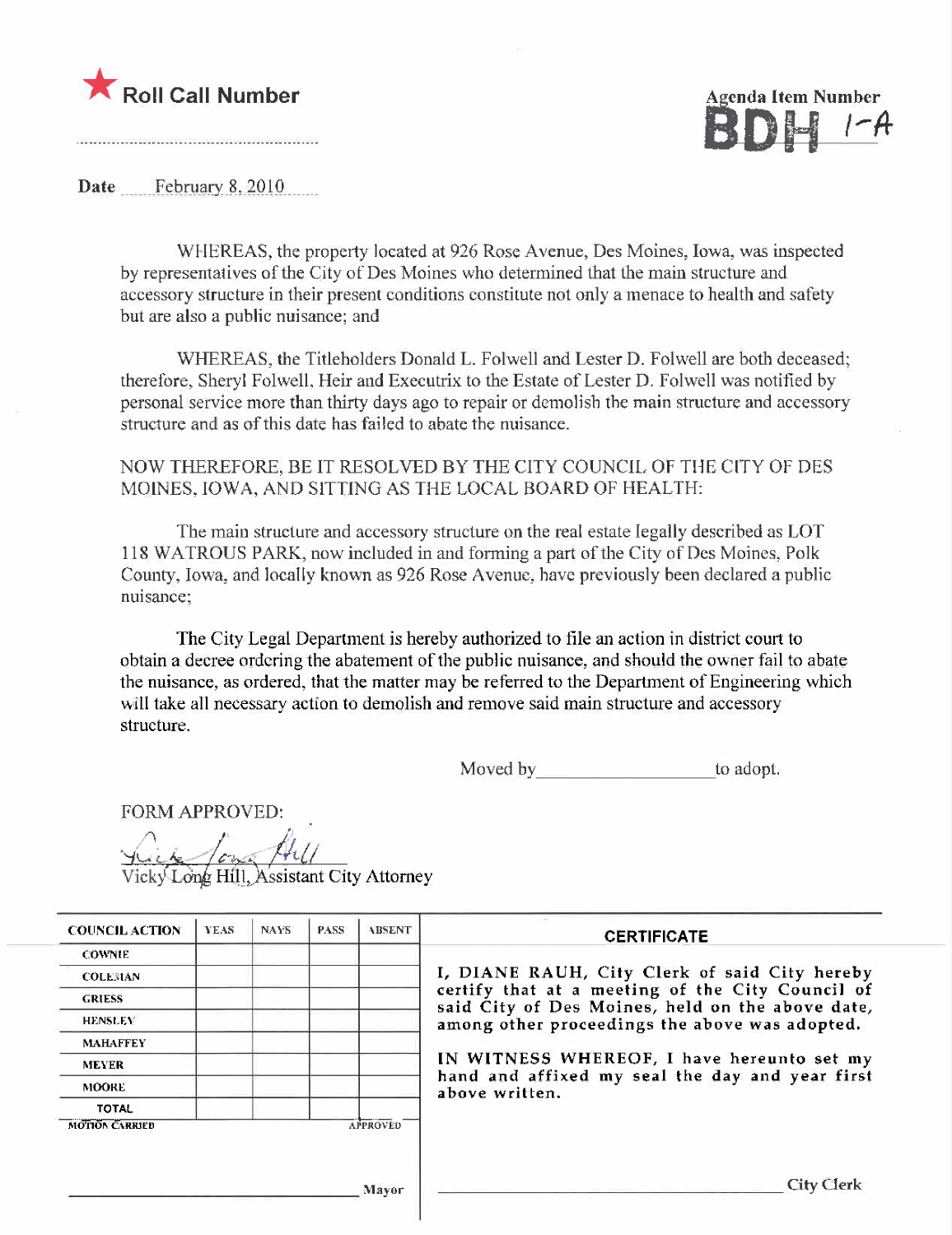

**Agenda Item Number**  $BDEI$   $I-A$ 

Date  $\qquad$  February 8, 2010.

WHEREAS, the property located at 926 Rose Avenue, Des Moines, Iowa, was inspected by representatives of the City of Des Moines who determined that the main structure and accessory structure in their present conditions constitute not only a menace to health and safety but are also a public nuisance; and

WHEREAS, the Titleholders Donald L. Folwell and Lester D. Folwell are both deceased; therefore, Sheryl Folwell, Heir and Executrix to the Estate of Lester D. Folwell was notified by personal service more than thirty days ago to repair or demolish the main structure and accessory structure and as of this date has failed to abate the nuisance.

#### NOW THEREFORE, BE IT RESOLVED BY THE CITY COUNCIL OF TilE CITY OF DES MOINES, IOWA, AND SITTING AS THE LOCAL BOARD OF HEALTH:

The main structure and accessory structure on the real estate legally described as LOT 118 WATROUS PARK, now included in and forming a part of the City of Des Moines, Polk County, Iowa, and locally known as 926 Rose Avenue, have previously been declared a public nuisance;

The City Legal Department is hereby authorized to tile an action in district court to obtain a decree ordering the abatement of the public nuisance, and should the owner fail to abate the nuisance, as ordered, that the matter may be referred to the Department of Engineering which will take all necessary action to demolish and remove said main structure and accessory structure.

Moved by to adopt.

FORM APPROVED:

 $\overline{\mathbf{c}}$ Long Hill, Assistant City Attorney

| <b>COUNCIL ACTION</b> | <b>YEAS</b> | NAYS. | <b>PASS</b> | <b>ABSENT</b>   | <b>CERTIFICATE</b>                                                                                   |
|-----------------------|-------------|-------|-------------|-----------------|------------------------------------------------------------------------------------------------------|
| <b>COWNIE</b>         |             |       |             |                 |                                                                                                      |
| <b>COLEMAN</b>        |             |       |             |                 | I, DIANE RAUH, City Clerk of said City hereby                                                        |
| <b>GRIESS</b>         |             |       |             |                 | certify that at a meeting of the City Council of<br>said City of Des Moines, held on the above date, |
| <b>HENSLEY</b>        |             |       |             |                 | among other proceedings the above was adopted.                                                       |
| <b>MAHAFFEY</b>       |             |       |             |                 |                                                                                                      |
| <b>MEYER</b>          |             |       |             |                 | IN WITNESS WHEREOF, I have hereunto set my                                                           |
| <b>MOORE</b>          |             |       |             |                 | hand and affixed my seal the day and year first<br>above written.                                    |
| <b>TOTAL</b>          |             |       |             |                 |                                                                                                      |
| <b>MOTION CARRIED</b> |             |       |             | <b>APPROVED</b> |                                                                                                      |
|                       |             |       |             |                 |                                                                                                      |
|                       |             |       |             |                 |                                                                                                      |
|                       |             |       |             | Mayor           | City (                                                                                               |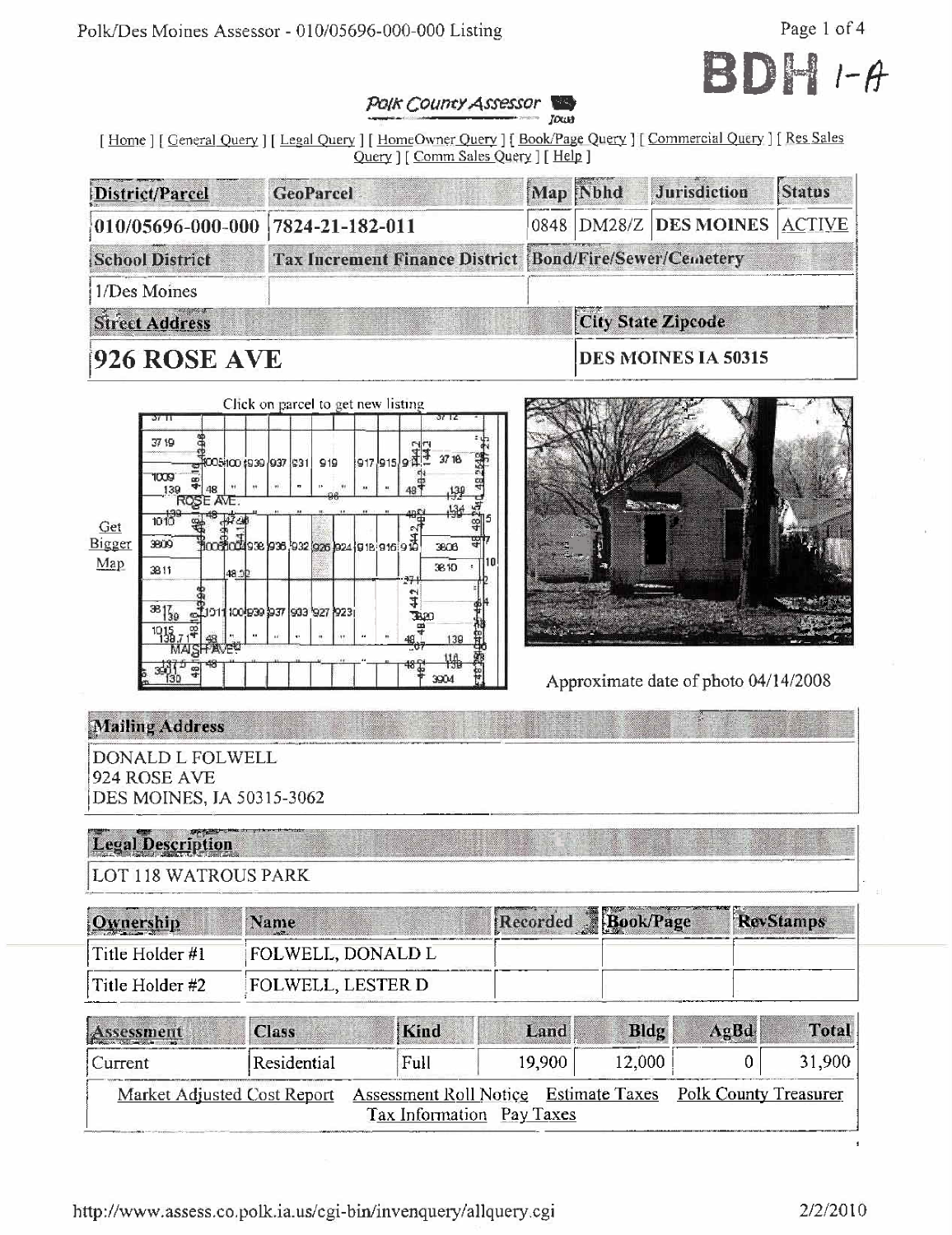

#### Polk County Assessor JOUR

[Home ] [General Query ] [Legal Query ] [HomeOwner Query ] [Book/Page Query ] [Commercial Query ] [Res Sales Query ] [ Comm Sales Query ] [ Help ]

| District/Parcel                         | <b>GeoParcel</b> |                                                         |                     | Map Nbhd Jurisdiction         | <b>Status</b> |  |
|-----------------------------------------|------------------|---------------------------------------------------------|---------------------|-------------------------------|---------------|--|
| $010/05696 - 000 - 000$ 7824-21-182-011 |                  |                                                         |                     | 0848 DM28/Z DES MOINES ACTIVE |               |  |
| <b>School District</b>                  |                  | Tax Increment Finance District Bond/Fire/Sewer/Cemetery |                     |                               |               |  |
| 1/Des Moines                            |                  |                                                         |                     |                               |               |  |
| <b>Street Address</b>                   |                  |                                                         |                     | City State Zipcode            |               |  |
| 1926 ROSE AVE                           |                  |                                                         | DES MOINES IA 50315 |                               |               |  |





Approximate date of photo 04/14/2008

### **Mailing Address**

DONALD L FOLWELL 924 ROSE AVE DES MOINES, JA 50315-3062

## Legal Description

| <b>LOT 118 WATROUS PARK</b> |                          |                    |                  |
|-----------------------------|--------------------------|--------------------|------------------|
| Ownership                   | Name                     | Recorded Book/Page | <b>RevStamps</b> |
| Title Holder #1             | <b>FOLWELL, DONALD L</b> |                    |                  |
| Title Holder #2             | <b>FOLWELL, LESTER D</b> |                    |                  |

| Assessment | <b>Class</b>                                                                            | Kind | Land                      | Bldg   | AgBd. | Total  |
|------------|-----------------------------------------------------------------------------------------|------|---------------------------|--------|-------|--------|
| Current    | Residential                                                                             | Full | 19.900                    | 12.000 |       | 31,900 |
|            | Market Adjusted Cost Report Assessment Roll Notice Estimate Taxes Polk County Treasurer |      | Tax Information Pay Taxes |        |       |        |

http://www.assess.co.polk.ia.us/cgi-bin/invenquery/allquery.cgi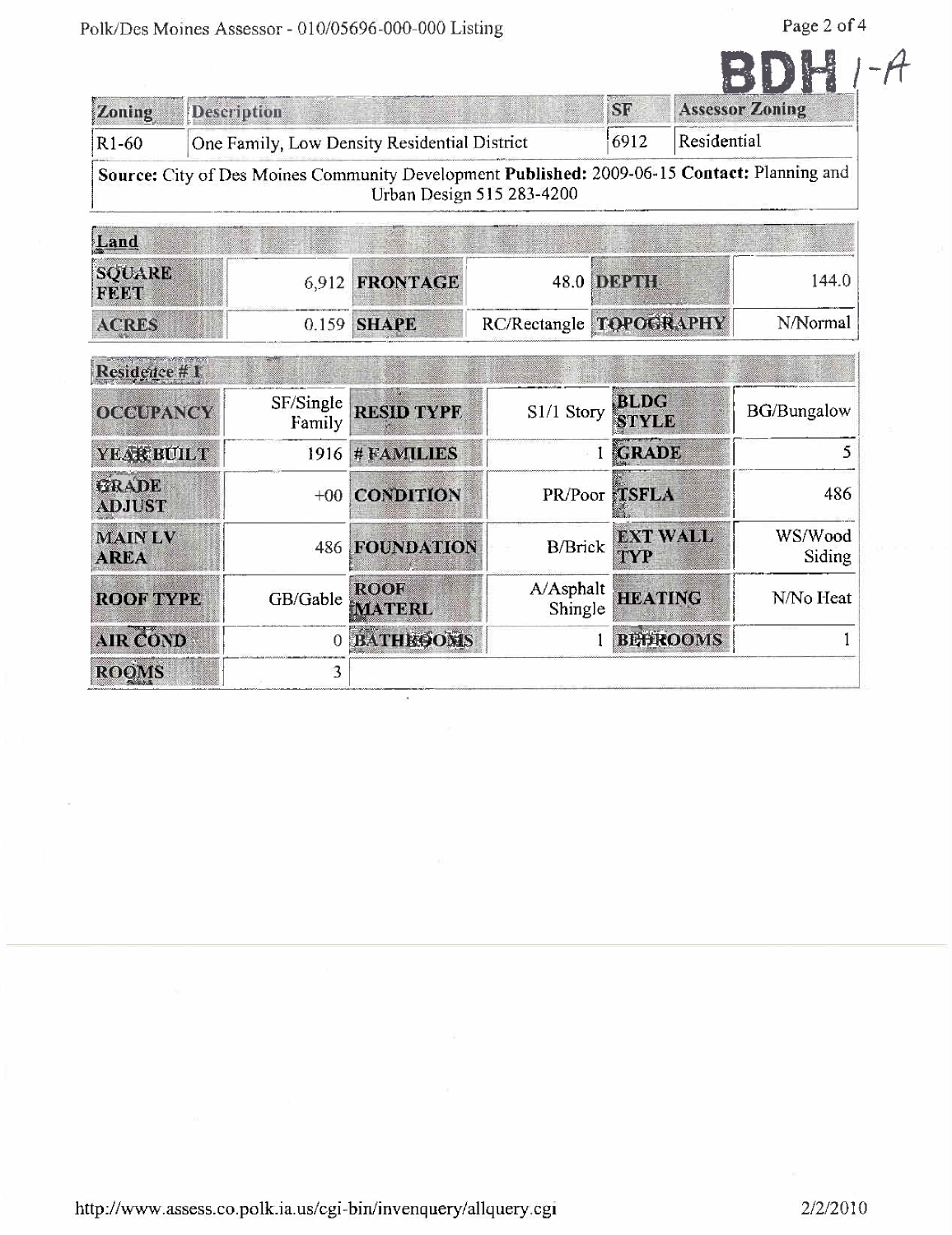| Zoning                       | <b>Description</b>                           |                              |                         | <b>SF</b>                   | <b>Assessor Zoning</b>                                                                       |
|------------------------------|----------------------------------------------|------------------------------|-------------------------|-----------------------------|----------------------------------------------------------------------------------------------|
| $R1-60$                      | One Family, Low Density Residential District |                              |                         | 6912                        | Residential                                                                                  |
|                              |                                              | Urban Design 515 283-4200    |                         |                             | Source: City of Des Moines Community Development Published: 2009-06-15 Contact: Planning and |
| Land                         |                                              |                              |                         |                             |                                                                                              |
| <b>SQUARE</b><br><b>FEET</b> | 6.912                                        | <b>FRONTAGE</b>              |                         | 48.0 DEPTH                  | 144.0                                                                                        |
| <b>ACRES</b>                 |                                              | 0.159 SHAPE                  | RC/Rectangle TOPOGRAPHY |                             | N/Normal                                                                                     |
| Residence # 1                |                                              |                              |                         |                             |                                                                                              |
| <b>OCCUPANCY</b>             | SF/Single<br>Family                          | <b>RESID TYPE</b>            | S1/1 Story              | <b>BLDG</b><br><b>STYLE</b> | <b>BG/Bungalow</b>                                                                           |
| YEAR BUILT                   | 1916                                         | #FAMILIES                    |                         | 1 GRADE                     | 5                                                                                            |
| GRADE<br><b>ADJUST</b>       |                                              | +00 CONDITION                |                         | PR/Poor <b>TSFLA</b>        | 486                                                                                          |
| <b>MAINLY</b><br><b>AREA</b> |                                              | <b>486 FOUNDATION</b>        | <b>B/Brick</b>          | <b>EXT WALL</b><br>TYP      | WS/Wood<br>Siding                                                                            |
| <b>ROOF TYPE</b>             | GB/Gable                                     | <b>ROOF</b><br><b>MATERL</b> | A/Asphalt<br>Shingle    | <b>HEATING</b>              | N/No Heat                                                                                    |
| <b>AIR COND</b>              | $\mathbf 0$                                  | <b>BATHROOMS</b>             |                         | <b>BEHIROOMS</b>            |                                                                                              |
| <b>ROOMS</b>                 | 3                                            |                              |                         |                             |                                                                                              |

Page 2 of 4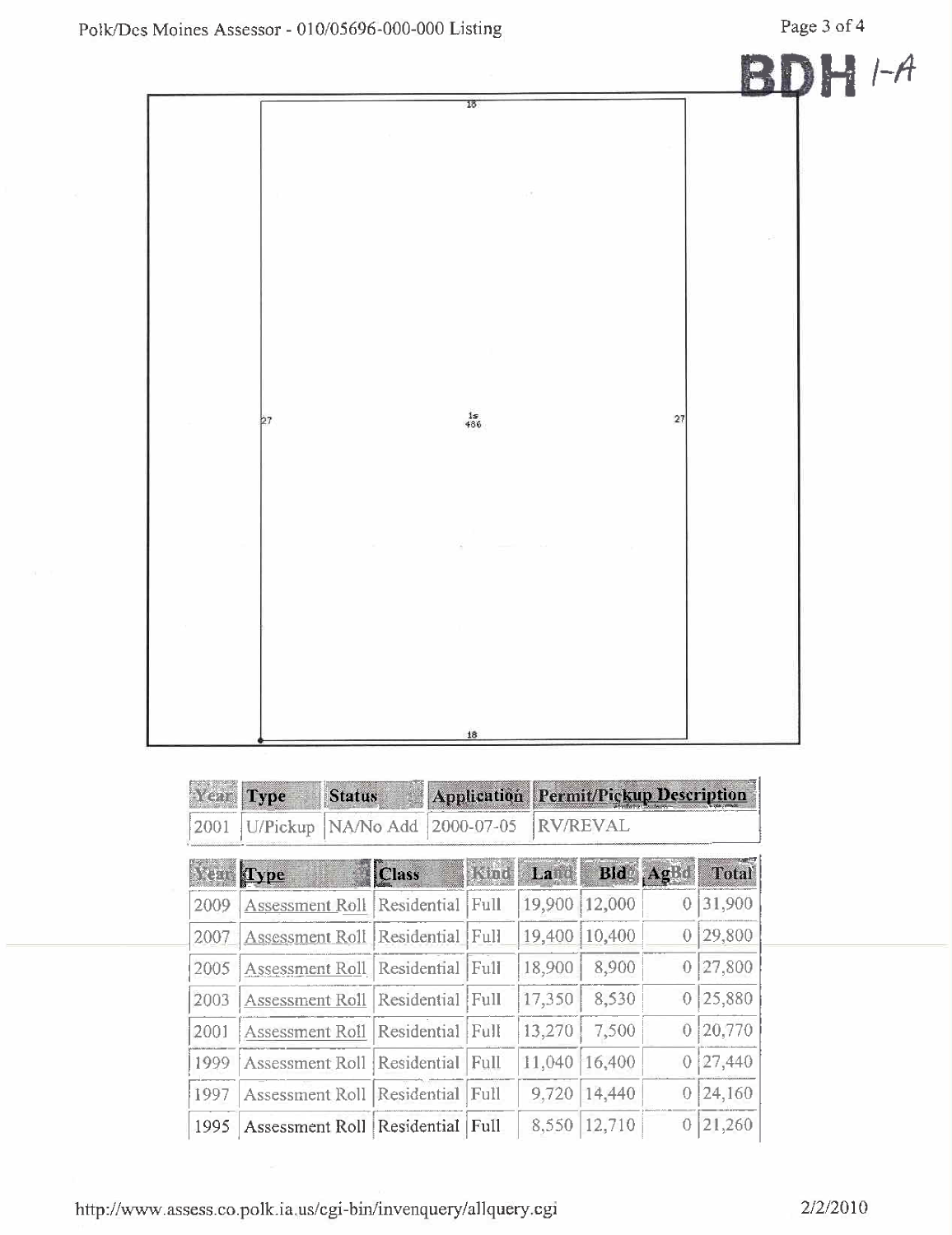| Aoines Assessor - 010/05696-000-000 Listing |                                 |             | rage $3.014$ |
|---------------------------------------------|---------------------------------|-------------|--------------|
|                                             |                                 |             | BDH /        |
|                                             | 18                              |             |              |
|                                             |                                 |             |              |
|                                             |                                 |             | ÷.           |
|                                             |                                 |             |              |
|                                             |                                 |             |              |
|                                             |                                 |             |              |
| 27                                          | $\frac{15}{486}$                | $\sqrt{27}$ |              |
|                                             |                                 |             |              |
|                                             | the company of the company<br>3 |             |              |
|                                             |                                 |             |              |
|                                             |                                 |             |              |
|                                             |                                 |             |              |

| $\mathcal{L}(\mathcal{L},\mathcal{L})$ | Type                   | <b>Status</b> | W                |            |        | Application Permit/Pickup Description |                |              |
|----------------------------------------|------------------------|---------------|------------------|------------|--------|---------------------------------------|----------------|--------------|
| 2001                                   | U/Pickup               |               | NA/No Add        | 2000-07-05 |        | <b>RV/REVAL</b>                       |                |              |
|                                        | Ne Type                | tings<br>midd | <b>Class</b>     | a sama d   | La     | Bld                                   | AgBo           | <b>Total</b> |
| 2009                                   | Assessment Roll        |               | Residential      | Full       | 19,900 | 12,000                                | 0              | 31,900       |
| 2007                                   | Assessment Roll        |               | Residential      | [Full]     | 19,400 | 10,400                                | $\overline{0}$ | 29,800       |
| 2005                                   | Assessment Roll        |               | Residential      | Full       | 18,900 | 8,900                                 | 0              | 27,800       |
| 2003                                   | Assessment Roll        |               | Residential      | Full       | 17,350 | 8,530                                 | $\overline{0}$ | 25,880       |
| 2001                                   | Assessment Roll        |               | Residential      | Full       | 13,270 | 7,500                                 | $\overline{0}$ | 20,770       |
| 1999                                   | <b>Assessment Roll</b> |               | Residential      | Full       | 11,040 | 16,400                                | 0              | 27,440       |
| 1997                                   | Assessment Roll        |               | Residential      | Full       | 9,720  | 14,440                                | $\theta$       | 24,160       |
| 1995                                   | Assessment Roll        |               | Residential Full |            | 8,550  | 12,710                                | 0              | 21,260       |

18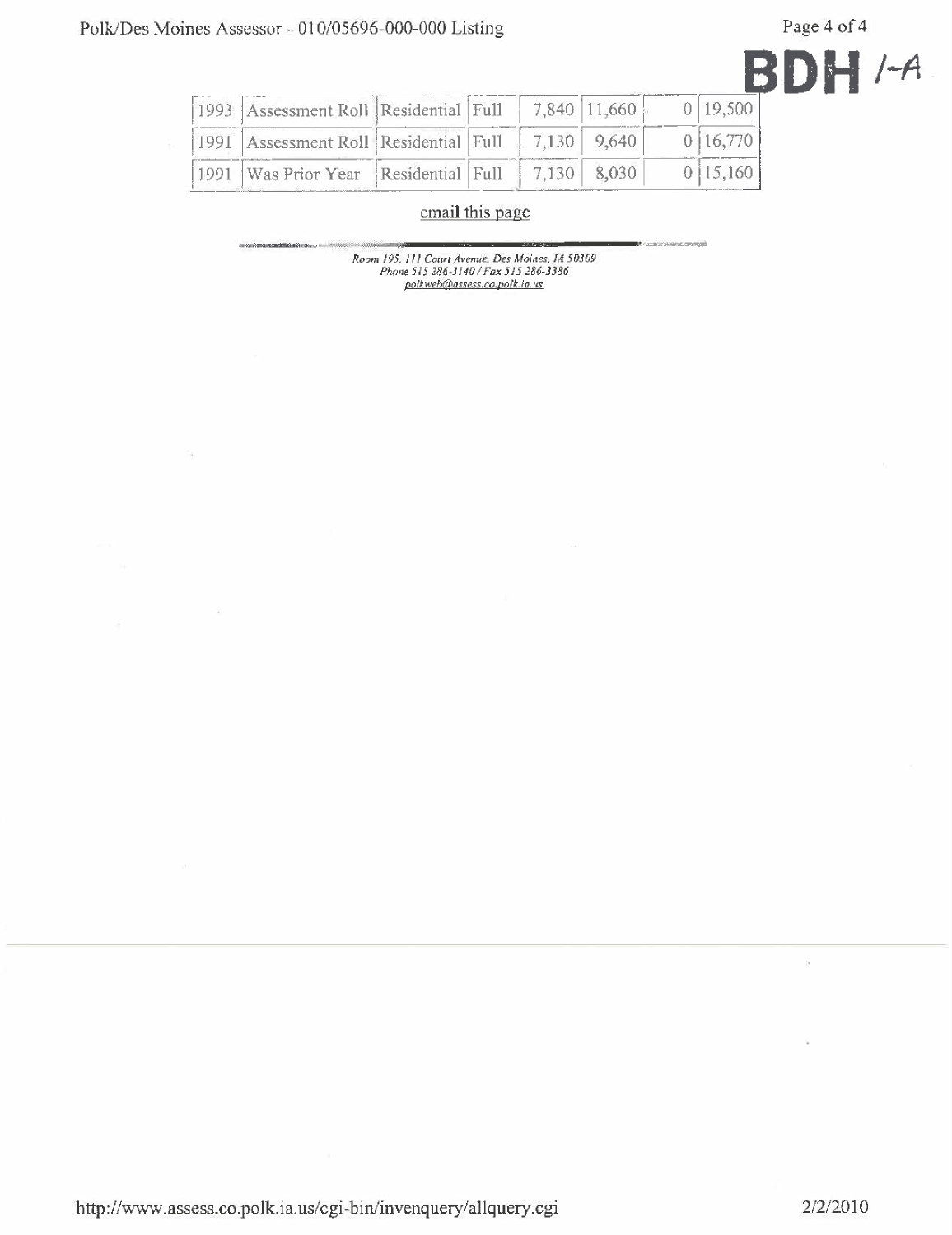| BDH.        |  |
|-------------|--|
| <b>TIME</b> |  |

| 1993   Assessment Roll   Residential   Full   7,840   11,660 |  |  | $0$   19,500       |
|--------------------------------------------------------------|--|--|--------------------|
| 1991   Assessment Roll   Residential   Full   7,130   9,640  |  |  | 0.16,770           |
| 1991   Was Prior Year   Residential   Full   7,130   8,030   |  |  | $0$   15,160 $\mu$ |

### email this page

Room 195, 111 Court Avenue, Des Moines, 14 50309<br>Phone 515 286-3140 / Fax 315 286-3386<br>polkweb@assess.co.polk.ia.us

ó.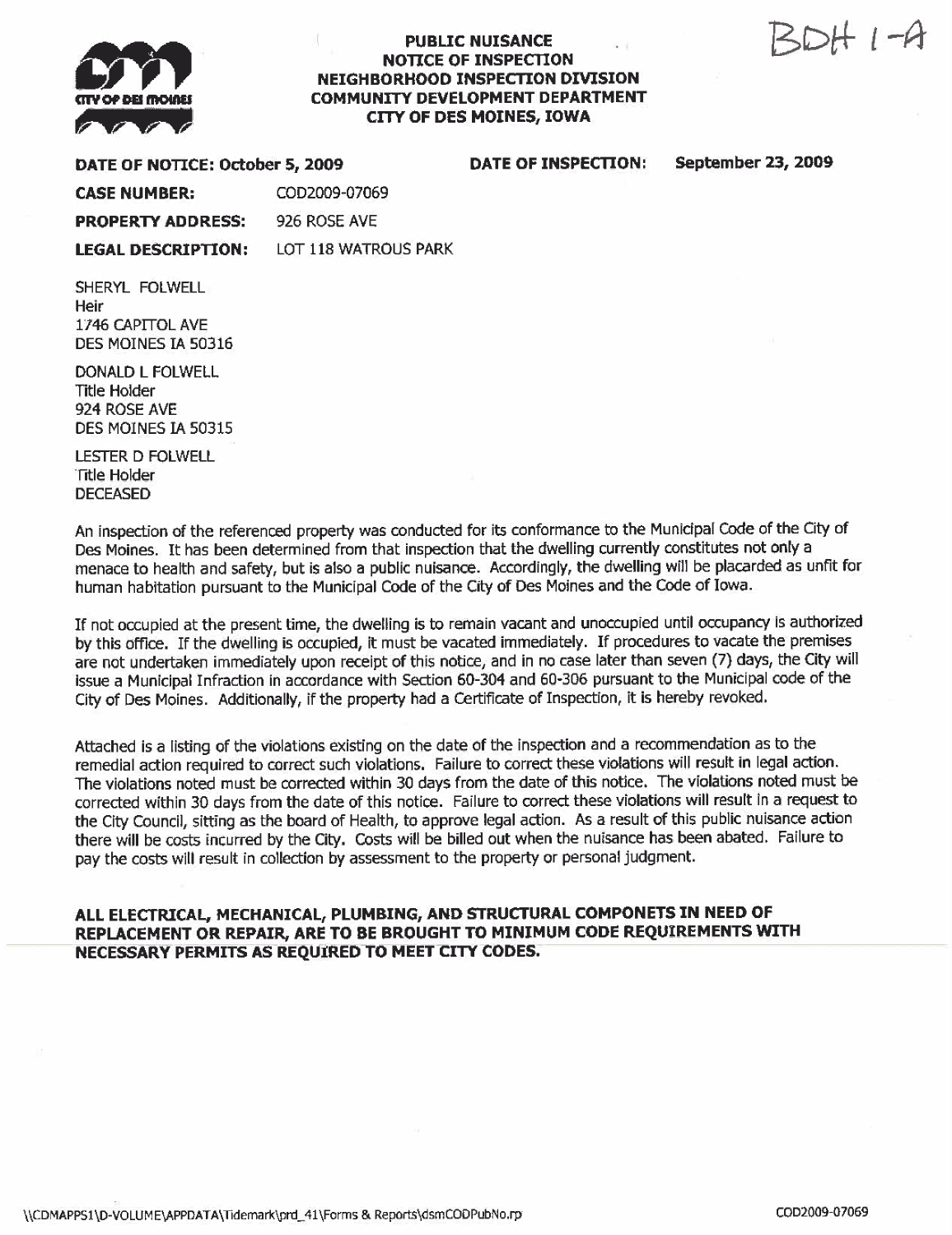$3DH$   $1-A$ 



#### PUBLIC NUISANCE NOTICE OF INSPECTON NEIGHBORHOOD INSPECTON DIVISION COMMUNITY DEVELOPMENT DEPARTMENT **CITY OF DES MOINES, IOWA**

DATE OF NOTICE: October 5, 2009 DATE OF INSPECTON: September 23, 2009

CASE NUMBER: COD2009-07069 PROPERTY ADDRESS: 926 ROSE AVE LEGAL DESCRIPTION: LOT 118 WATROUS PARK

SHERYL FOLWELL Heir 1746 CAPITOL AVE DES MOINES IA S0316

DONALD L FOLWELL Title Holder 924 ROSE AVE DES MOINES IA S031S

LESTR D FOLWELL Title Holder **DECEASED** 

An inspection of the referenced property was conducted for its conformance to the Municipal Code of the City of Des Moines. It has been determined from that inspection that the dwelling currently constitutes not only a menace to health and safety, but is also a public nuisance. Accordingly, the dwelling will be placarded as unfit for human habitation pursuant to the Municipal Code of the City of Des Moines and the Code of Iowa.

If not ocupied at the present time, the dwellng is to remain vacant and unoccupied until ocupancy is authorized by this office. If the dwelling is occupied, it must be vacated immediately. If procedures to vacate the premises are not undertaken immediately upon receipt of this notice, and in no case later than seven (7) days, the City will issue a Municipal Infraction in accordance with Section 60-304 and 60-306 pursuant to the Municipal code of the City of Des Moines. Additionally, if the property had a Certificate of Inspection, it is hereby revoked.

Attached is a listing of the violations existing on the date of the inspection and a recommendation as to the remedial action required to correct such violations. Failure to correct these violations will result in legal action. The violations noted must be corrected within 30 days from the date of this notice. The violations noted must be corrected within 30 days from the date of this notice. Failure to correct these violations will result in a request to the City Council, sitting as the board of Health, to approve legal action. As a result of this public nuisance action there will be costs incurred by the City. Costs will be billed out when the nuisance has been abated. Failure to pay the costs will result in collection by assessment to the property or personal judgment.

#### ALL ELECTRICAL, MECHANICAL. PLUMBING, AND STRUCTURAL COMPONETS IN NEED OF REPLACEMENT OR REPAIR, ARE TO BE BROUGHT TO MINIMUM CODE REQUIREMENTS WITH NECESSARY PERMITS AS REQUIRED TO MEET CITY CODES.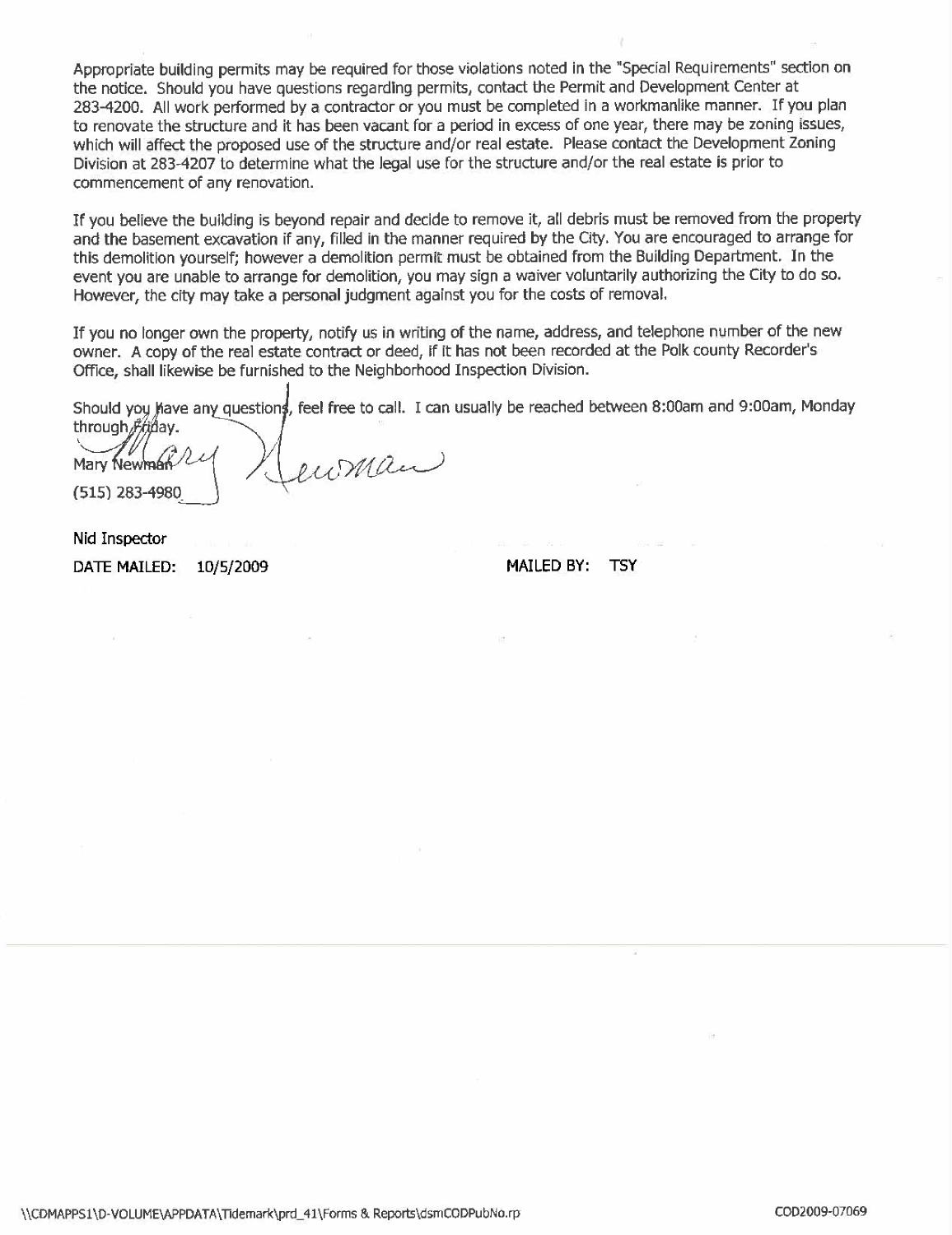Appropriate building permits may be required for those violations noted in the "Special Requirements" section on the notice. Should you have questions rearding permits, contact the Permit and Development Center at 283-4200. All work performed by a contractor or you must be completed in a workmanlike manner. If you plan to renovate the structure and it has been vacant for a period in excess of one year, there may be zoning issues, which will affect the proposed use of the structure and/or real estate. Please contact the Development Zoning Division at 283-4207 to determine what the legal use for the structure and/or the real estate is prior to commenæment of any renovation.

If you believe the building is beyond repair and decide to remove it, all debris must be removed from the propert and the basement excavation if any, filled in the manner required by the City. You are encouraged to arrange for this demolition yourself; however a demolition permit must be obtained from the Building Department. In the event you are unable to arrange for demolition, you may sign a waiver voluntarily authorizing the City to do so. However, the city may take a persnal judgment against you for the costs of removal.

If you no longer own the property, notify us in writing of the name, address, and telephone number of the new owner. A copy of the real estate contract or deed, if it has not been recorded at the Polk county Recorder's Office, shall likewise be furnished to the Neighborhood Inspection Division.

Should you have any questions, feel free to call. I can usually be reached between 8:00am and 9:00am, Monday through  $\hat{f}$ 

Mary Newmark 24 ) les Mau (515) 283-4980~

Nid Inspector

DATE MAILED: 10/5/2009 MAILED BY: TSY

\\CDMAPPS1\D-VOLUME\APPDATA\Tidemark\prd\_41\Forms & Reports\dsmCODPubNo.rp COD2009-07069